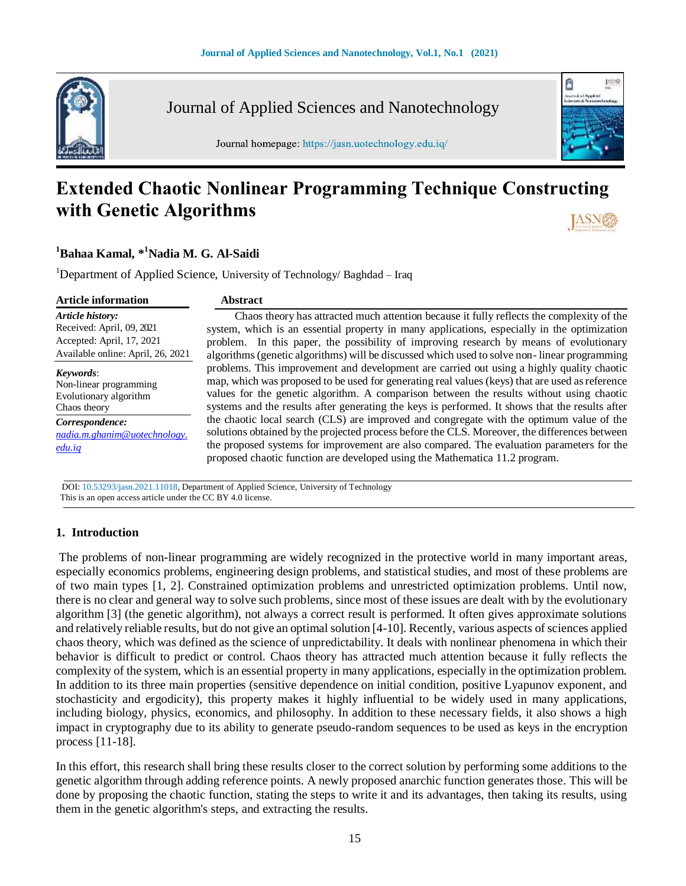

Journal of Applied Sciences and Nanotechnology

Journal homepage: https://jasn.uotechnology.edu.iq/

# **LUMP** Ô

# **Extended Chaotic Nonlinear Programming Technique Constructing with Genetic Algorithms**

#### **<sup>1</sup>Bahaa Kamal, \* <sup>1</sup>Nadia M. G. Al-Saidi**

<sup>1</sup>Department of Applied Science, University of Technology/ Baghdad – Iraq

| <b>Article information</b>                                | <b>Abstract</b>                                                                                                                                                                                                                                                                                                                                                       |
|-----------------------------------------------------------|-----------------------------------------------------------------------------------------------------------------------------------------------------------------------------------------------------------------------------------------------------------------------------------------------------------------------------------------------------------------------|
| <b>Article history:</b>                                   | Chaos theory has attracted much attention because it fully reflects the complexity of the                                                                                                                                                                                                                                                                             |
| Received: April, 09, 2021                                 | system, which is an essential property in many applications, especially in the optimization                                                                                                                                                                                                                                                                           |
| Accepted: April, 17, 2021                                 | problem. In this paper, the possibility of improving research by means of evolutionary                                                                                                                                                                                                                                                                                |
| Available online: April, 26, 2021                         | algorithms (genetic algorithms) will be discussed which used to solve non-linear programming                                                                                                                                                                                                                                                                          |
| Keywords:                                                 | problems. This improvement and development are carried out using a highly quality chaotic                                                                                                                                                                                                                                                                             |
| Non-linear programming                                    | map, which was proposed to be used for generating real values (keys) that are used as reference                                                                                                                                                                                                                                                                       |
| Evolutionary algorithm                                    | values for the genetic algorithm. A comparison between the results without using chaotic                                                                                                                                                                                                                                                                              |
| Chaos theory                                              | systems and the results after generating the keys is performed. It shows that the results after                                                                                                                                                                                                                                                                       |
| Correspondence:<br>nadia.m.ghanim@uotechnology.<br>edu.iq | the chaotic local search (CLS) are improved and congregate with the optimum value of the<br>solutions obtained by the projected process before the CLS. Moreover, the differences between<br>the proposed systems for improvement are also compared. The evaluation parameters for the<br>proposed chaotic function are developed using the Mathematica 11.2 program. |

 DOI: 10.53293/jasn.2021.11018, Department of Applied Science, University of Technology This is an open access article under the CC BY 4.0 license.

#### **1. Introduction**

The problems of non-linear programming are widely recognized in the protective world in many important areas, especially economics problems, engineering design problems, and statistical studies, and most of these problems are of two main types [1, 2]. Constrained optimization problems and unrestricted optimization problems. Until now, there is no clear and general way to solve such problems, since most of these issues are dealt with by the evolutionary algorithm [3] (the genetic algorithm), not always a correct result is performed. It often gives approximate solutions and relatively reliable results, but do not give an optimal solution [4-10]. Recently, various aspects of sciences applied chaos theory, which was defined as the science of unpredictability. It deals with nonlinear phenomena in which their behavior is difficult to predict or control. Chaos theory has attracted much attention because it fully reflects the complexity of the system, which is an essential property in many applications, especially in the optimization problem. In addition to its three main properties (sensitive dependence on initial condition, positive Lyapunov exponent, and stochasticity and ergodicity), this property makes it highly influential to be widely used in many applications, including biology, physics, economics, and philosophy. In addition to these necessary fields, it also shows a high impact in cryptography due to its ability to generate pseudo-random sequences to be used as keys in the encryption process [11-18].

In this effort, this research shall bring these results closer to the correct solution by performing some additions to the genetic algorithm through adding reference points. A newly proposed anarchic function generates those. This will be done by proposing the chaotic function, stating the steps to write it and its advantages, then taking its results, using them in the genetic algorithm's steps, and extracting the results.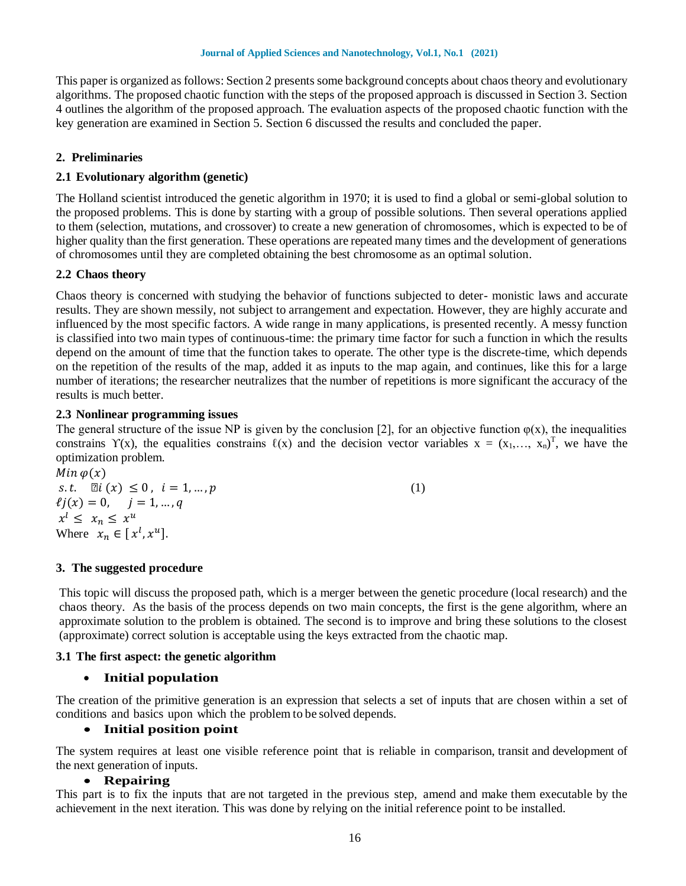This paper is organized as follows: Section 2 presents some background concepts about chaos theory and evolutionary algorithms. The proposed chaotic function with the steps of the proposed approach is discussed in Section 3. Section 4 outlines the algorithm of the proposed approach. The evaluation aspects of the proposed chaotic function with the key generation are examined in Section 5. Section 6 discussed the results and concluded the paper.

#### **2. Preliminaries**

#### **2.1 Evolutionary algorithm (genetic)**

The Holland scientist introduced the genetic algorithm in 1970; it is used to find a global or semi-global solution to the proposed problems. This is done by starting with a group of possible solutions. Then several operations applied to them (selection, mutations, and crossover) to create a new generation of chromosomes, which is expected to be of higher quality than the first generation. These operations are repeated many times and the development of generations of chromosomes until they are completed obtaining the best chromosome as an optimal solution.

#### **2.2 Chaos theory**

Chaos theory is concerned with studying the behavior of functions subjected to deter- monistic laws and accurate results. They are shown messily, not subject to arrangement and expectation. However, they are highly accurate and influenced by the most specific factors. A wide range in many applications, is presented recently. A messy function is classified into two main types of continuous-time: the primary time factor for such a function in which the results depend on the amount of time that the function takes to operate. The other type is the discrete-time, which depends on the repetition of the results of the map, added it as inputs to the map again, and continues, like this for a large number of iterations; the researcher neutralizes that the number of repetitions is more significant the accuracy of the results is much better.

#### **2.3 Nonlinear programming issues**

The general structure of the issue NP is given by the conclusion [2], for an objective function  $\varphi(x)$ , the inequalities constrains  $\Upsilon(x)$ , the equalities constrains  $\ell(x)$  and the decision vector variables  $x = (x_1,..., x_n)^T$ , we have the optimization problem.

 $Min \varphi(x)$  $s.t. \quad \mathbb{E}[i(x) \leq 0, \ i = 1, ..., p]$  (1)  $\ell j(x) = 0, \quad j = 1, ..., q$  $x^l \leq x_n \leq x^u$ Where  $x_n \in [x^l, x^u]$ .

#### **3. The suggested procedure**

This topic will discuss the proposed path, which is a merger between the genetic procedure (local research) and the chaos theory. As the basis of the process depends on two main concepts, the first is the gene algorithm, where an approximate solution to the problem is obtained. The second is to improve and bring these solutions to the closest (approximate) correct solution is acceptable using the keys extracted from the chaotic map.

#### **3.1 The first aspect: the genetic algorithm**

#### **Initial population**

The creation of the primitive generation is an expression that selects a set of inputs that are chosen within a set of conditions and basics upon which the problem to be solved depends.

#### **Initial position point**

The system requires at least one visible reference point that is reliable in comparison, transit and development of the next generation of inputs.

#### **Repairing**

This part is to fix the inputs that are not targeted in the previous step, amend and make them executable by the achievement in the next iteration. This was done by relying on the initial reference point to be installed.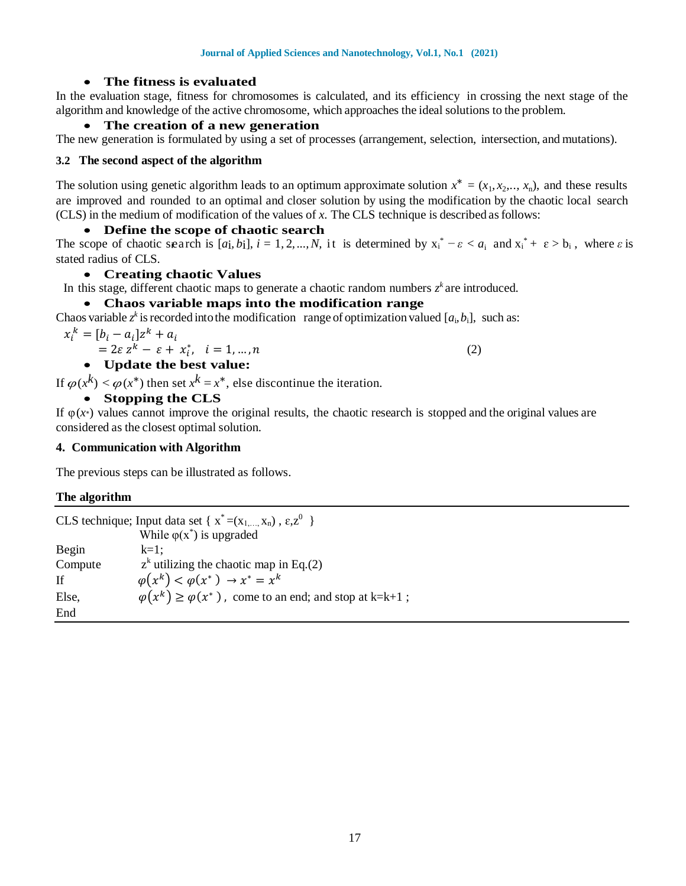#### **The fitness is evaluated**

In the evaluation stage, fitness for chromosomes is calculated, and its efficiency in crossing the next stage of the algorithm and knowledge of the active chromosome, which approaches the ideal solutions to the problem.

#### **The creation of a new generation**

The new generation is formulated by using a set of processes (arrangement, selection, intersection, and mutations).

#### **3.2 The second aspect of the algorithm**

The solution using genetic algorithm leads to an optimum approximate solution  $x^* = (x_1, x_2, \ldots, x_n)$ , and these results are improved and rounded to an optimal and closer solution by using the modification by the chaotic local search (CLS) in the medium of modification of the values of *x*. The CLS technique is described asfollows:

#### **Define the scope of chaotic search**

The scope of chaotic search is [*a*i, *b*i],  $i = 1, 2, ..., N$ , it is determined by  $x_i^* - \varepsilon < a_i$  and  $x_i^* + \varepsilon > b_i$ , where  $\varepsilon$  is stated radius of CLS.

#### **Creating chaotic Values**

In this stage, different chaotic maps to generate a chaotic random numbers  $z^k$  are introduced.

# **Chaos variable maps into the modification range**

Chaos variable  $z^k$  is recorded into the modification range of optimization valued  $[a_i, b_i]$ , such as:

$$
x_i^k = [b_i - a_i]z^k + a_i
$$
  
=  $2\varepsilon z^k - \varepsilon + x_i^*, i = 1, ..., n$   
• Update the best value: (2)

If  $\varphi(x^k) < \varphi(x^*)$  then set  $x^k = x^*$ , else discontinue the iteration.

# **Stopping the CLS**

If  $\varphi(x^*)$  values cannot improve the original results, the chaotic research is stopped and the original values are considered as the closest optimal solution.

#### **4. Communication with Algorithm**

The previous steps can be illustrated as follows.

# **The algorithm**

| CLS technique; Input data set { $x^* = (x_1, , x_n)$ , $\varepsilon, z^0$ } |                                                                      |  |  |  |
|-----------------------------------------------------------------------------|----------------------------------------------------------------------|--|--|--|
|                                                                             | While $\varphi(x^*)$ is upgraded                                     |  |  |  |
| Begin                                                                       | $k=1$ :                                                              |  |  |  |
| Compute                                                                     | $zk$ utilizing the chaotic map in Eq.(2)                             |  |  |  |
| - If                                                                        | $\varphi(x^k) < \varphi(x^*) \rightarrow x^* = x^k$                  |  |  |  |
| Else,                                                                       | $\varphi(x^k) \ge \varphi(x^*)$ , come to an end; and stop at k=k+1; |  |  |  |
| End                                                                         |                                                                      |  |  |  |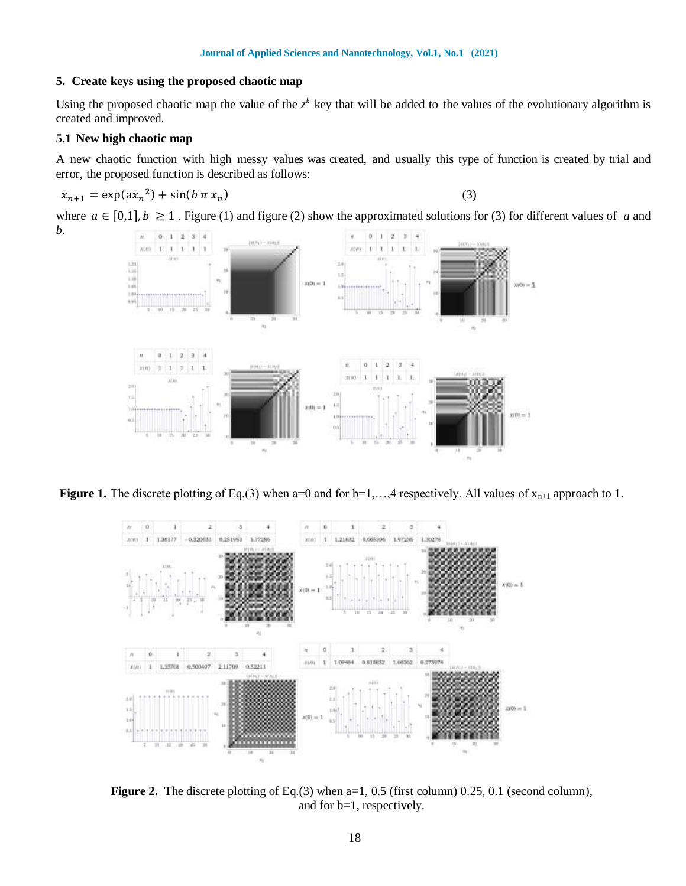#### **5. Create keys using the proposed chaotic map**

Using the proposed chaotic map the value of the  $z^k$  key that will be added to the values of the evolutionary algorithm is created and improved.

#### **5.1 New high chaotic map**

*b*.

A new chaotic function with high messy values was created, and usually this type of function is created by trial and error, the proposed function is described as follows:

$$
x_{n+1} = \exp(ax_n^2) + \sin(b \pi x_n)
$$
 (3)

where  $a \in [0,1], b \ge 1$ . Figure (1) and figure (2) show the approximated solutions for (3) for different values of *a* and



**Figure 1.** The discrete plotting of Eq.(3) when a=0 and for  $b=1,...,4$  respectively. All values of  $x_{n+1}$  approach to 1.



**Figure 2.** The discrete plotting of Eq.(3) when a=1, 0.5 (first column) 0.25, 0.1 (second column), and for b=1, respectively.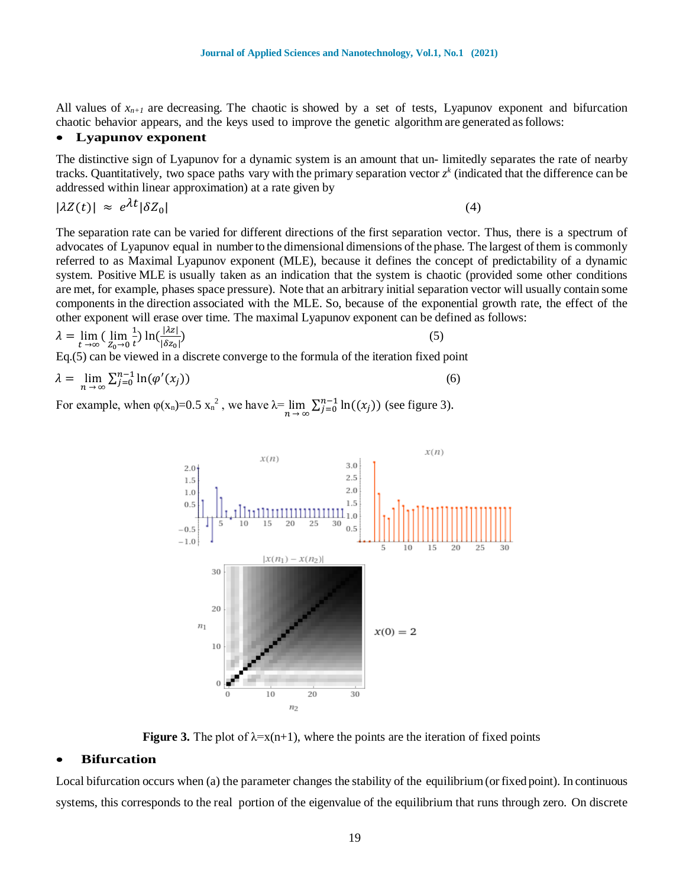All values of  $x_{n+1}$  are decreasing. The chaotic is showed by a set of tests, Lyapunov exponent and bifurcation chaotic behavior appears, and the keys used to improve the genetic algorithm are generated asfollows:

#### **Lyapunov exponent**

The distinctive sign of Lyapunov for a dynamic system is an amount that un- limitedly separates the rate of nearby tracks. Quantitatively, two space paths vary with the primary separation vector  $z^k$  (indicated that the difference can be addressed within linear approximation) at a rate given by

$$
|\lambda Z(t)| \approx e^{\lambda t} |\delta Z_0| \tag{4}
$$

The separation rate can be varied for different directions of the first separation vector. Thus, there is a spectrum of advocates of Lyapunov equal in number to the dimensional dimensions of the phase. The largest of them is commonly referred to as Maximal Lyapunov exponent (MLE), because it defines the concept of predictability of a dynamic system. Positive MLE is usually taken as an indication that the system is chaotic (provided some other conditions are met, for example, phases space pressure). Note that an arbitrary initial separation vector will usually contain some components in the direction associated with the MLE. So, because of the exponential growth rate, the effect of the other exponent will erase over time. The maximal Lyapunov exponent can be defined as follows:

$$
\lambda = \lim_{t \to \infty} \left( \lim_{Z_0 \to 0} \frac{1}{t} \right) \ln \left( \frac{|\lambda z|}{|\delta z_0|} \right) \tag{5}
$$

Eq.(5) can be viewed in a discrete converge to the formula of the iteration fixed point

$$
\lambda = \lim_{n \to \infty} \sum_{j=0}^{n-1} \ln(\varphi'(x_j))
$$
\n(6)

For example, when  $\varphi(x_n)=0.5 x_n^2$ , we have  $\lambda = \lim_{n \to \infty} \sum_{j=0}^{n-1} \ln((x_j))$  (see figure 3).



**Figure 3.** The plot of  $\lambda = x(n+1)$ , where the points are the iteration of fixed points

#### **Bifurcation**

Local bifurcation occurs when (a) the parameter changes the stability of the equilibrium(or fixed point). In continuous systems, this corresponds to the real portion of the eigenvalue of the equilibrium that runs through zero. On discrete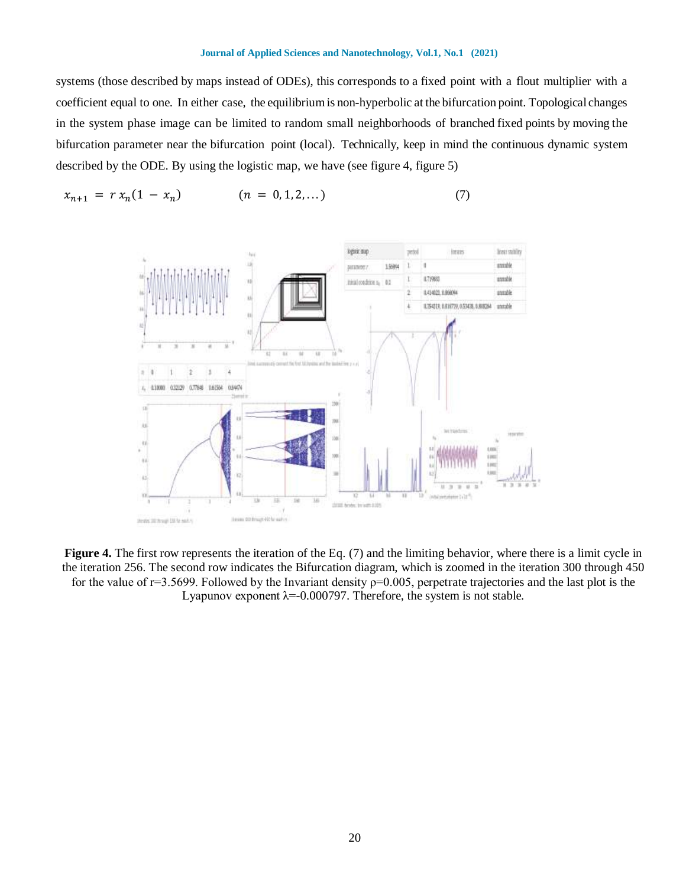#### **Journal of Applied Sciences and Nanotechnology, Vol.1, No.1 (2021)**

systems (those described by maps instead of ODEs), this corresponds to a fixed point with a flout multiplier with a coefficient equal to one. In either case, the equilibriumis non-hyperbolic at the bifurcation point. Topological changes in the system phase image can be limited to random small neighborhoods of branched fixed points by moving the bifurcation parameter near the bifurcation point (local). Technically, keep in mind the continuous dynamic system described by the ODE. By using the logistic map, we have (see figure 4, figure 5)

$$
x_{n+1} = r x_n (1 - x_n) \qquad (n = 0, 1, 2, ...)
$$
 (7)



**Figure 4.** The first row represents the iteration of the Eq. (7) and the limiting behavior, where there is a limit cycle in the iteration 256. The second row indicates the Bifurcation diagram, which is zoomed in the iteration 300 through 450 for the value of  $r=3.5699$ . Followed by the Invariant density  $p=0.005$ , perpetrate trajectories and the last plot is the Lyapunov exponent  $\lambda = -0.000797$ . Therefore, the system is not stable.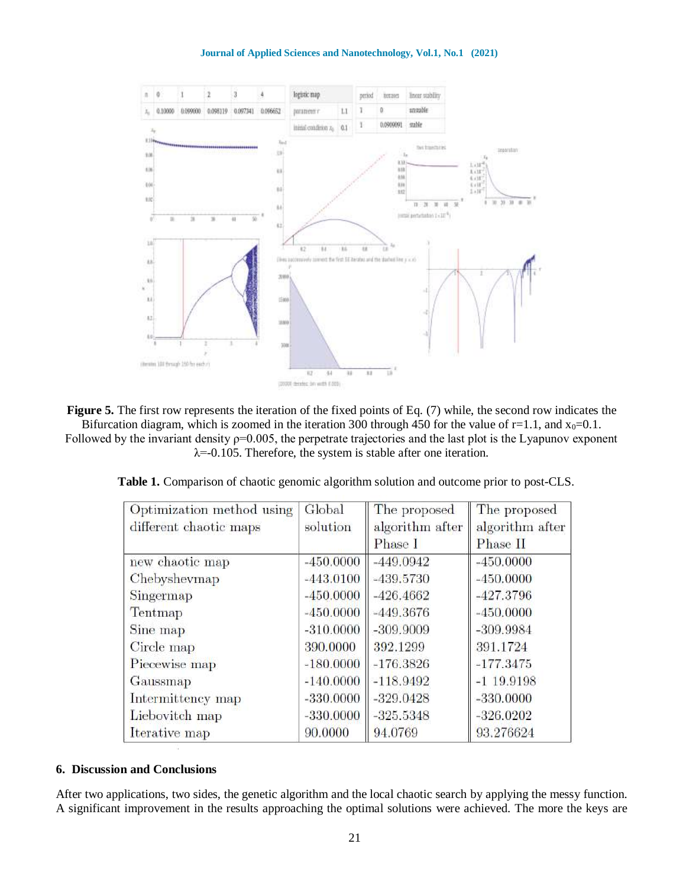**Journal of Applied Sciences and Nanotechnology, Vol.1, No.1 (2021)**



**Figure 5.** The first row represents the iteration of the fixed points of Eq. (7) while, the second row indicates the Bifurcation diagram, which is zoomed in the iteration 300 through 450 for the value of  $r=1.1$ , and  $x_0=0.1$ . Followed by the invariant density ρ=0.005, the perpetrate trajectories and the last plot is the Lyapunov exponent

 $\lambda$ =-0.105. Therefore, the system is stable after one iteration.

| Optimization method using | Global      | The proposed    | The proposed    |
|---------------------------|-------------|-----------------|-----------------|
| different chaotic maps    | solution    | algorithm after | algorithm after |
|                           |             | Phase I         | Phase II        |
| new chaotic map           | $-450.0000$ | $-449.0942$     | $-450.0000$     |
| Chebyshevmap              | $-443.0100$ | $-439.5730$     | $-450,0000$     |
| Singermap                 | $-450.0000$ | $-426.4662$     | $-427.3796$     |
| Tentmap                   | $-450,0000$ | $-449.3676$     | $-450.0000$     |
| Sine map                  | $-310.0000$ | $-309.9009$     | $-309.9984$     |
| Circle map                | 390,0000    | 392.1299        | 391.1724        |
| Piecewise map             | $-180,0000$ | $-176.3826$     | $-177.3475$     |
| Gaussmap                  | $-140.0000$ | $-118.9492$     | $-1$ 19.9198    |
| Intermittency map         | $-330,0000$ | $-329.0428$     | $-330,0000$     |
| Liebovitch map            | $-330,0000$ | $-325.5348$     | $-326.0202$     |
| Iterative map             | 90.0000     | 94.0769         | 93.276624       |

 **Table 1.** Comparison of chaotic genomic algorithm solution and outcome prior to post-CLS.

#### **6. Discussion and Conclusions**

After two applications, two sides, the genetic algorithm and the local chaotic search by applying the messy function. A significant improvement in the results approaching the optimal solutions were achieved. The more the keys are